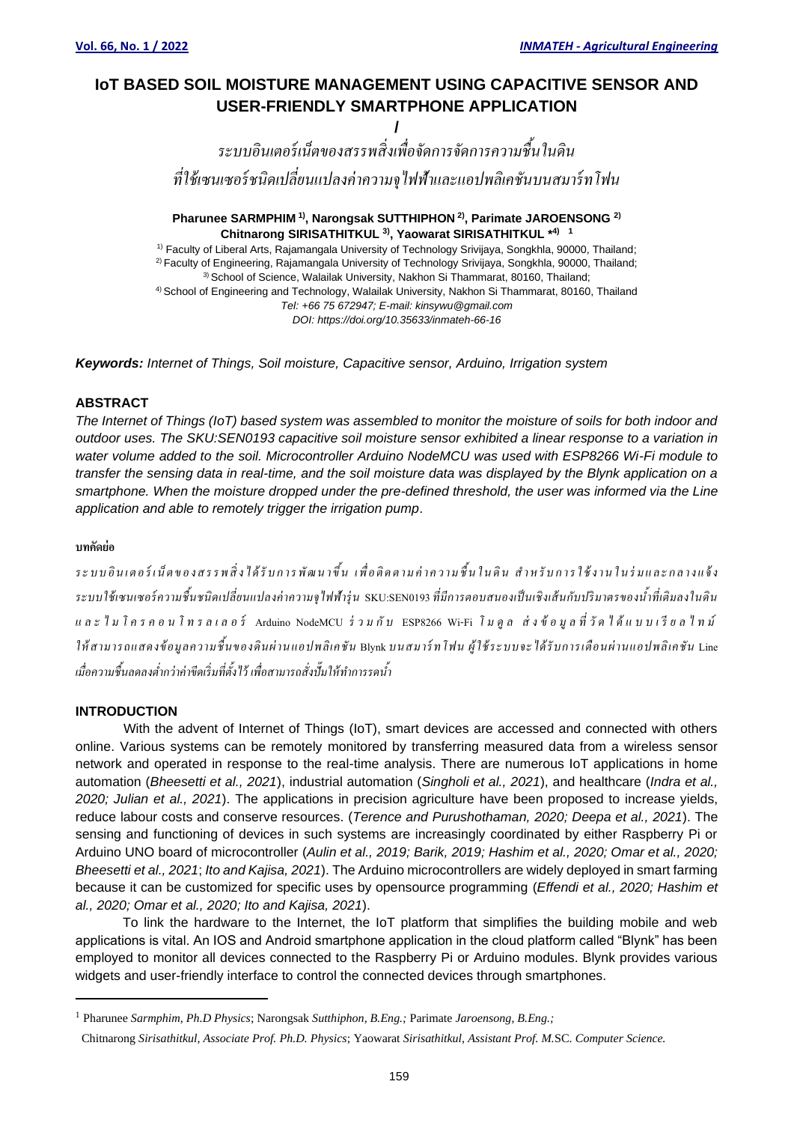# **IoT BASED SOIL MOISTURE MANAGEMENT USING CAPACITIVE SENSOR AND USER-FRIENDLY SMARTPHONE APPLICATION**

**/** *ระบบอินเตอร์ เน็ตของสรรพสิ่งเพื่อจัดการจัดการความชื้นในดิน ที่ใช้เซนเซอร์ ชนิดเปลี่ยนแปลงค่าความจุไฟฟ้าและแอปพลิเคชันบนสมาร์ ทโฟน*

# **Pharunee SARMPHIM 1) , Narongsak SUTTHIPHON 2) , Parimate JAROENSONG 2) Chitnarong SIRISATHITKUL 3) , Yaowarat SIRISATHITKUL \* 4) 1**

1) Faculty of Liberal Arts, Rajamangala University of Technology Srivijaya, Songkhla, 90000, Thailand; 2) Faculty of Engineering, Rajamangala University of Technology Srivijaya, Songkhla, 90000, Thailand; <sup>3)</sup> School of Science, Walailak University, Nakhon Si Thammarat, 80160, Thailand; 4) School of Engineering and Technology, Walailak University, Nakhon Si Thammarat, 80160, Thailand *Tel: +66 75 672947; E-mail: kinsywu@gmail.com DOI: https://doi.org/10.35633/inmateh-66-16*

*Keywords: Internet of Things, Soil moisture, Capacitive sensor, Arduino, Irrigation system* 

# **ABSTRACT**

*The Internet of Things (IoT) based system was assembled to monitor the moisture of soils for both indoor and outdoor uses. The SKU:SEN0193 capacitive soil moisture sensor exhibited a linear response to a variation in water volume added to the soil. Microcontroller Arduino NodeMCU was used with ESP8266 Wi-Fi module to transfer the sensing data in real-time, and the soil moisture data was displayed by the Blynk application on a smartphone. When the moisture dropped under the pre-defined threshold, the user was informed via the Line application and able to remotely trigger the irrigation pump*.

# **บทคัดย่อ**

*ร ะ บ บ อิ น เ ต อ ร์ เ น็ ต ข อ ง ส ร ร พ สิ่ ง ไ ด้ รั บ ก า ร พั ฒ น า ขึ้น เ พื่ อ ติ ด ต า ม ค่ า ค ว า ม ชื้ น ใ น ดิ น ส า ห รั บ ก า ร ใ ช้ ง า น ใ น ร่ ม แ ล ะ ก ล า ง แ จ้ ง ระบบใช้ เซนเซอร์ ความชื้นชนิดเปลี่ยนแปลงค่าความจุไฟฟ้ารุ่ น* SKU:SEN0193 *ที่มีการตอบสนองเป็ นเชิงเส้ นกับปริ มาตรของน ้าที่เติมลงในดิน แ ล ะ ไ ม โ ค ร ค อ น โ ท ร ล เ ล อ ร์* Arduino NodeMCU *ร่ ว ม กั บ* ESP8266 Wi-Fi *โ ม ดู ล ส่ ง ข้ อ มู ล ที่ วั ด ไ ด้ แ บ บ เ รี ย ล ไ ท ม์ ให้ สามารถแสดงข้ อมูลความชื้นของดินผ่ านแอปพลิเคชัน* Blynk *บนสมาร์ ทโฟน ผู้ ใช้ ระบบจะได้ รั บการเตือนผ่ านแอปพลิเคชัน* Line *เมื่อความชื้นลดลงต ่ากว่าค่าขีดเริ่มที่ตั้งไว้ เพื่อสามารถสั่งปั๊มให้ท าการรดน ้า*

### **INTRODUCTION**

With the advent of Internet of Things (IoT), smart devices are accessed and connected with others online. Various systems can be remotely monitored by transferring measured data from a wireless sensor network and operated in response to the real-time analysis. There are numerous IoT applications in home automation (*Bheesetti et al., 2021*), industrial automation (*Singholi et al., 2021*), and healthcare (*Indra et al., 2020; Julian et al., 2021*). The applications in precision agriculture have been proposed to increase yields, reduce labour costs and conserve resources. (*Terence and Purushothaman, 2020; Deepa et al., 2021*). The sensing and functioning of devices in such systems are increasingly coordinated by either Raspberry Pi or Arduino UNO board of microcontroller (*Aulin et al., 2019; Barik, 2019; Hashim et al., 2020; Omar et al., 2020; Bheesetti et al., 2021*; *Ito and Kajisa, 2021*). The Arduino microcontrollers are widely deployed in smart farming because it can be customized for specific uses by opensource programming (*Effendi et al., 2020; Hashim et al., 2020; Omar et al., 2020; Ito and Kajisa, 2021*).

To link the hardware to the Internet, the IoT platform that simplifies the building mobile and web applications is vital. An IOS and Android smartphone application in the cloud platform called "Blynk" has been employed to monitor all devices connected to the Raspberry Pi or Arduino modules. Blynk provides various widgets and user-friendly interface to control the connected devices through smartphones.

<sup>1</sup> Pharunee *Sarmphim, Ph.D Physics*; Narongsak *Sutthiphon, B.Eng.;* Parimate *Jaroensong*, *B.Eng.;* 

Chitnarong *Sirisathitkul, Associate Prof. Ph.D. Physics*; Yaowarat *Sirisathitkul, Assistant Prof. M.*SC. *Computer Science.*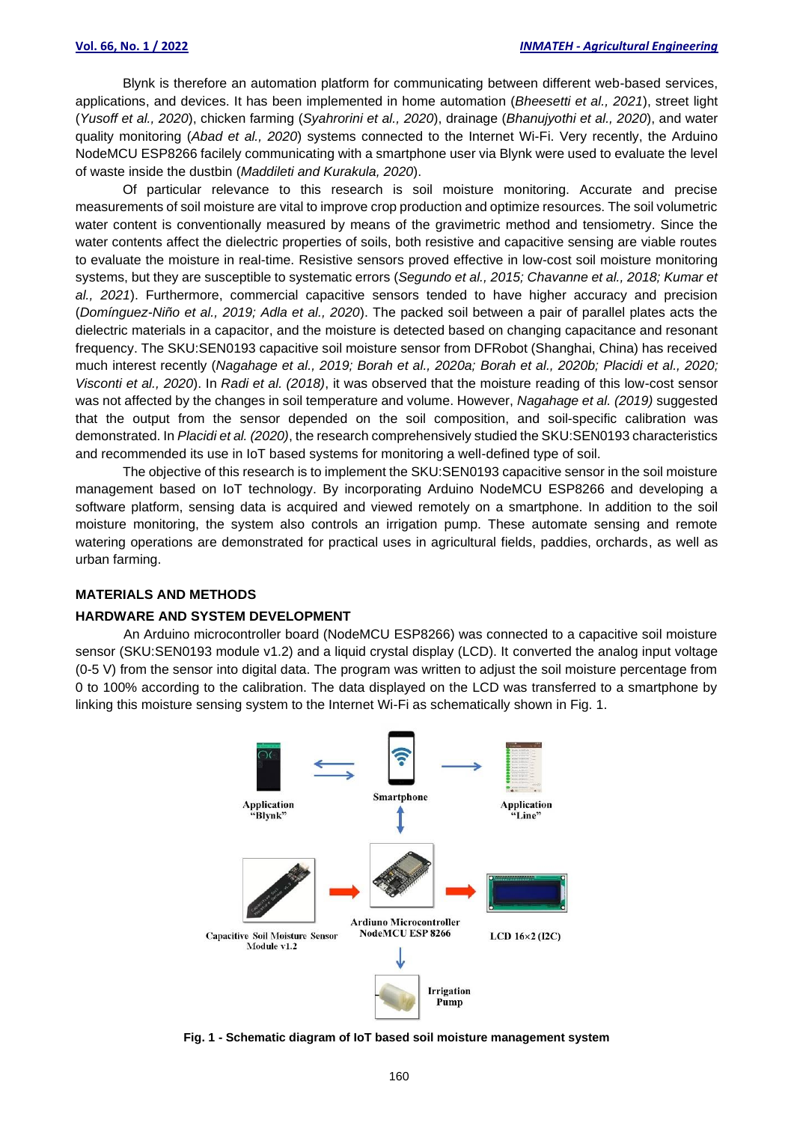Blynk is therefore an automation platform for communicating between different web-based services, applications, and devices. It has been implemented in home automation (*Bheesetti et al., 2021*), street light (*Yusoff et al., 2020*), chicken farming (*Syahrorini et al., 2020*), drainage (*Bhanujyothi et al., 2020*), and water quality monitoring (*Abad et al., 2020*) systems connected to the Internet Wi-Fi. Very recently, the Arduino NodeMCU ESP8266 facilely communicating with a smartphone user via Blynk were used to evaluate the level of waste inside the dustbin (*Maddileti and Kurakula, 2020*).

Of particular relevance to this research is soil moisture monitoring. Accurate and precise measurements of soil moisture are vital to improve crop production and optimize resources. The soil volumetric water content is conventionally measured by means of the gravimetric method and tensiometry. Since the water contents affect the dielectric properties of soils, both resistive and capacitive sensing are viable routes to evaluate the moisture in real-time. Resistive sensors proved effective in low-cost soil moisture monitoring systems, but they are susceptible to systematic errors (*Segundo et al., 2015; Chavanne et al., 2018; Kumar et al., 2021*). Furthermore, commercial capacitive sensors tended to have higher accuracy and precision (*Domínguez-Niño et al., 2019; Adla et al., 2020*). The packed soil between a pair of parallel plates acts the dielectric materials in a capacitor, and the moisture is detected based on changing capacitance and resonant frequency. The SKU:SEN0193 capacitive soil moisture sensor from DFRobot (Shanghai, China) has received much interest recently (*Nagahage et al., 2019; Borah et al., 2020a; Borah et al., 2020b; Placidi et al., 2020; Visconti et al., 2020*). In *Radi et al. (2018)*, it was observed that the moisture reading of this low-cost sensor was not affected by the changes in soil temperature and volume. However, *Nagahage et al. (2019)* suggested that the output from the sensor depended on the soil composition, and soil-specific calibration was demonstrated. In *Placidi et al. (2020)*, the research comprehensively studied the SKU:SEN0193 characteristics and recommended its use in IoT based systems for monitoring a well-defined type of soil.

The objective of this research is to implement the SKU:SEN0193 capacitive sensor in the soil moisture management based on IoT technology. By incorporating Arduino NodeMCU ESP8266 and developing a software platform, sensing data is acquired and viewed remotely on a smartphone. In addition to the soil moisture monitoring, the system also controls an irrigation pump. These automate sensing and remote watering operations are demonstrated for practical uses in agricultural fields, paddies, orchards, as well as urban farming.

### **MATERIALS AND METHODS**

#### **HARDWARE AND SYSTEM DEVELOPMENT**

An Arduino microcontroller board (NodeMCU ESP8266) was connected to a capacitive soil moisture sensor (SKU:SEN0193 module v1.2) and a liquid crystal display (LCD). It converted the analog input voltage (0-5 V) from the sensor into digital data. The program was written to adjust the soil moisture percentage from 0 to 100% according to the calibration. The data displayed on the LCD was transferred to a smartphone by linking this moisture sensing system to the Internet Wi-Fi as schematically shown in Fig. 1.



**Fig. 1 - Schematic diagram of IoT based soil moisture management system**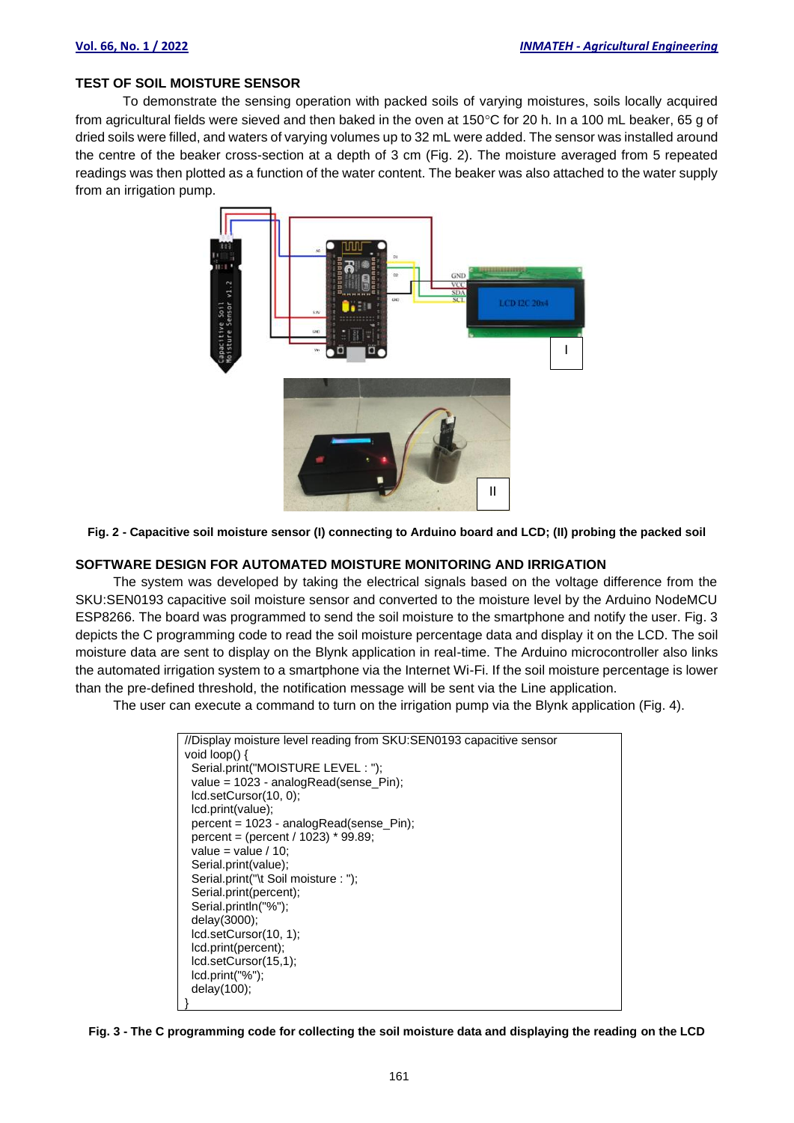#### **TEST OF SOIL MOISTURE SENSOR**

To demonstrate the sensing operation with packed soils of varying moistures, soils locally acquired from agricultural fields were sieved and then baked in the oven at  $150^{\circ}$ C for 20 h. In a 100 mL beaker, 65 g of dried soils were filled, and waters of varying volumes up to 32 mL were added. The sensor was installed around the centre of the beaker cross-section at a depth of 3 cm (Fig. 2). The moisture averaged from 5 repeated readings was then plotted as a function of the water content. The beaker was also attached to the water supply from an irrigation pump.



**Fig. 2 - Capacitive soil moisture sensor (I) connecting to Arduino board and LCD; (II) probing the packed soil**

#### **SOFTWARE DESIGN FOR AUTOMATED MOISTURE MONITORING AND IRRIGATION**

The system was developed by taking the electrical signals based on the voltage difference from the SKU:SEN0193 capacitive soil moisture sensor and converted to the moisture level by the Arduino NodeMCU ESP8266. The board was programmed to send the soil moisture to the smartphone and notify the user. Fig. 3 depicts the C programming code to read the soil moisture percentage data and display it on the LCD. The soil moisture data are sent to display on the Blynk application in real-time. The Arduino microcontroller also links the automated irrigation system to a smartphone via the Internet Wi-Fi. If the soil moisture percentage is lower than the pre-defined threshold, the notification message will be sent via the Line application.

The user can execute a command to turn on the irrigation pump via the Blynk application (Fig. 4).

```
//Display moisture level reading from SKU:SEN0193 capacitive sensor
void loop() {
 Serial.print("MOISTURE LEVEL : ");
  value = 1023 - analogRead(sense_Pin);
  lcd.setCursor(10, 0);
  lcd.print(value);
  percent = 1023 - analogRead(sense_Pin);
  percent = (percent / 1023) * 99.89;
 value = value / 10;
  Serial.print(value);
  Serial.print("\t Soil moisture : ");
  Serial.print(percent);
  Serial.println("%");
  delay(3000);
  lcd.setCursor(10, 1);
  lcd.print(percent);
  lcd.setCursor(15,1);
  lcd.print("%");
  delay(100);
}
```
**Fig. 3 - The C programming code for collecting the soil moisture data and displaying the reading on the LCD**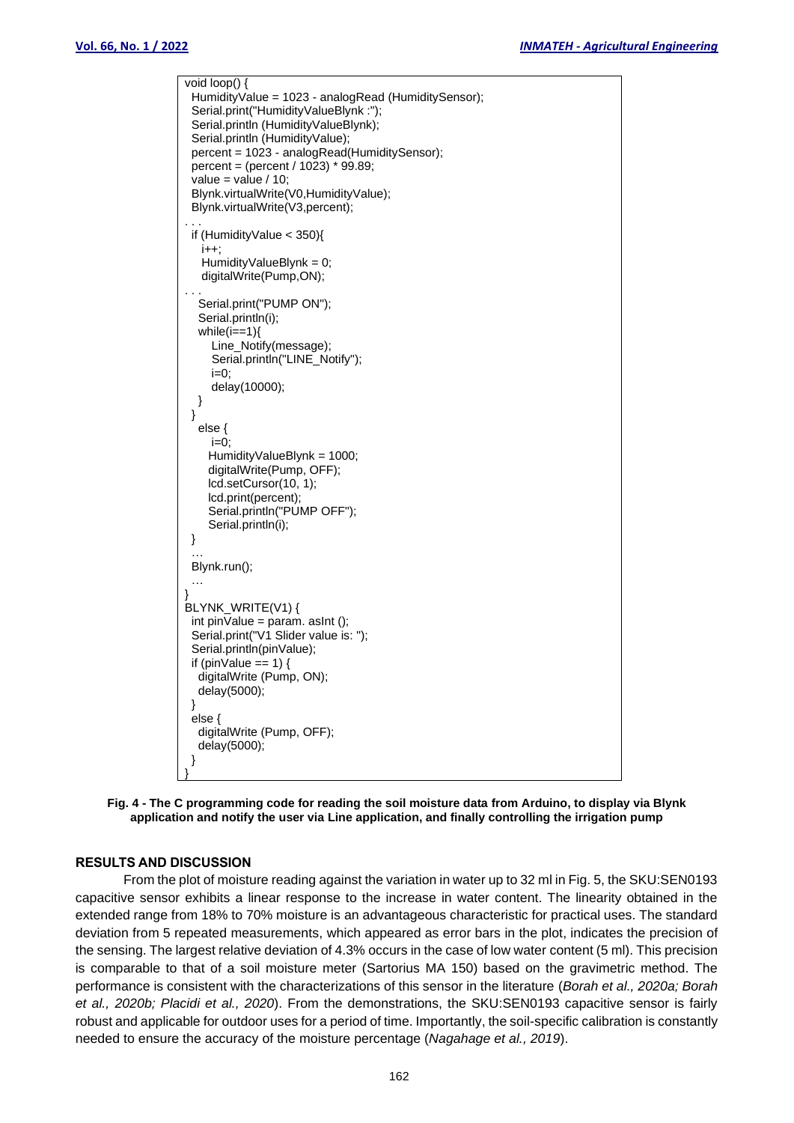```
\overline{void loop()} HumidityValue = 1023 - analogRead (HumiditySensor);
  Serial.print("HumidityValueBlynk :");
  Serial.println (HumidityValueBlynk);
 Serial.println (HumidityValue);
  percent = 1023 - analogRead(HumiditySensor);
  percent = (percent / 1023) * 99.89;
 value = value / 10;
  Blynk.virtualWrite(V0,HumidityValue);
  Blynk.virtualWrite(V3,percent);
. . .
  if (HumidityValue < 350){
    i++;
   HumidityValueBlynk = 0;
    digitalWrite(Pump,ON);
. . .
   Serial.print("PUMP ON");
   Serial.println(i);
  while(i==1){
     Line_Notify(message);
      Serial.println("LINE_Notify");
     i=0:
      delay(10000);
   } 
  }
   else {
     i=0:
     HumidityValueBlynk = 1000;
     digitalWrite(Pump, OFF);
     lcd.setCursor(10, 1);
     lcd.print(percent);
     Serial.println("PUMP OFF");
     Serial.println(i);
  }
\mathbb{R} .
  Blynk.run();
\mathbb{R} .
}
BLYNK_WRITE(V1) {
 int pinValue = param. asInt ();
  Serial.print("V1 Slider value is: ");
  Serial.println(pinValue);
 if (pinValue == 1) {
   digitalWrite (Pump, ON);
   delay(5000);
  }
  else {
   digitalWrite (Pump, OFF);
   delay(5000);
  }
}
```


#### **RESULTS AND DISCUSSION**

From the plot of moisture reading against the variation in water up to 32 ml in Fig. 5, the SKU:SEN0193 capacitive sensor exhibits a linear response to the increase in water content. The linearity obtained in the extended range from 18% to 70% moisture is an advantageous characteristic for practical uses. The standard deviation from 5 repeated measurements, which appeared as error bars in the plot, indicates the precision of the sensing. The largest relative deviation of 4.3% occurs in the case of low water content (5 ml). This precision is comparable to that of a soil moisture meter (Sartorius MA 150) based on the gravimetric method. The performance is consistent with the characterizations of this sensor in the literature (*Borah et al., 2020a; Borah et al., 2020b; Placidi et al., 2020*). From the demonstrations, the SKU:SEN0193 capacitive sensor is fairly robust and applicable for outdoor uses for a period of time. Importantly, the soil-specific calibration is constantly needed to ensure the accuracy of the moisture percentage (*Nagahage et al., 2019*).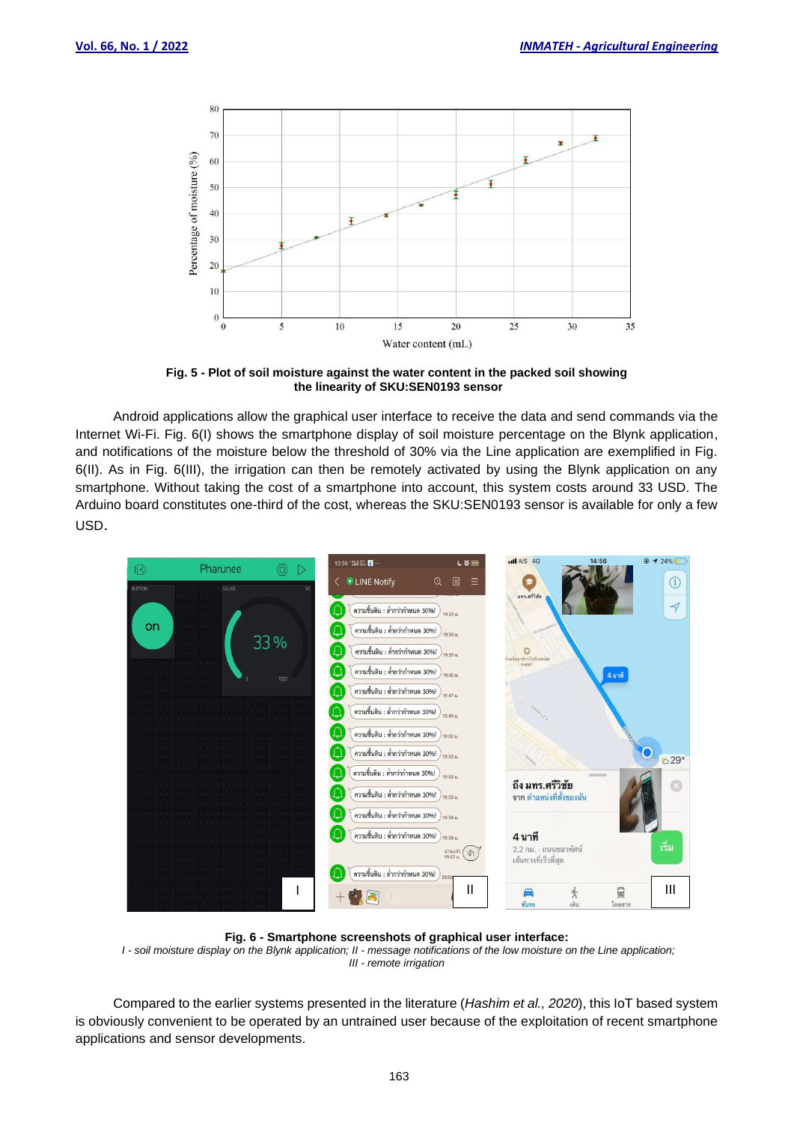

**Fig. 5 - Plot of soil moisture against the water content in the packed soil showing the linearity of SKU:SEN0193 sensor**

Android applications allow the graphical user interface to receive the data and send commands via the Internet Wi-Fi. Fig. 6(I) shows the smartphone display of soil moisture percentage on the Blynk application, and notifications of the moisture below the threshold of 30% via the Line application are exemplified in Fig. 6(II). As in Fig. 6(III), the irrigation can then be remotely activated by using the Blynk application on any smartphone. Without taking the cost of a smartphone into account, this system costs around 33 USD. The Arduino board constitutes one-third of the cost, whereas the SKU:SEN0193 sensor is available for only a few USD.



**Fig. 6 - Smartphone screenshots of graphical user interface:**

*I - soil moisture display on the Blynk application; II - message notifications of the low moisture on the Line application; III - remote irrigation*

Compared to the earlier systems presented in the literature (*Hashim et al., 2020*), this IoT based system is obviously convenient to be operated by an untrained user because of the exploitation of recent smartphone applications and sensor developments.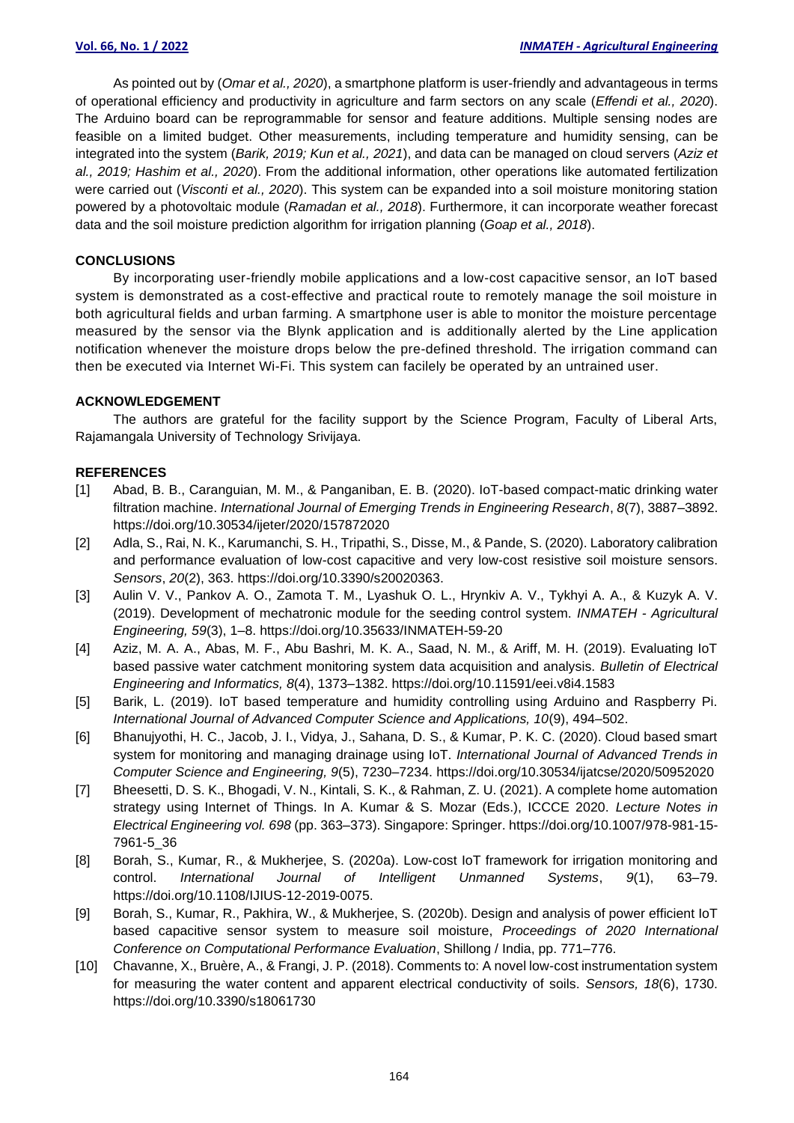As pointed out by (*Omar et al., 2020*), a smartphone platform is user-friendly and advantageous in terms of operational efficiency and productivity in agriculture and farm sectors on any scale (*Effendi et al., 2020*). The Arduino board can be reprogrammable for sensor and feature additions. Multiple sensing nodes are feasible on a limited budget. Other measurements, including temperature and humidity sensing, can be integrated into the system (*Barik, 2019; Kun et al., 2021*), and data can be managed on cloud servers (*Aziz et al., 2019; Hashim et al., 2020*). From the additional information, other operations like automated fertilization were carried out (*Visconti et al., 2020*). This system can be expanded into a soil moisture monitoring station powered by a photovoltaic module (*Ramadan et al., 2018*). Furthermore, it can incorporate weather forecast data and the soil moisture prediction algorithm for irrigation planning (*Goap et al., 2018*).

# **CONCLUSIONS**

By incorporating user-friendly mobile applications and a low-cost capacitive sensor, an IoT based system is demonstrated as a cost-effective and practical route to remotely manage the soil moisture in both agricultural fields and urban farming. A smartphone user is able to monitor the moisture percentage measured by the sensor via the Blynk application and is additionally alerted by the Line application notification whenever the moisture drops below the pre-defined threshold. The irrigation command can then be executed via Internet Wi-Fi. This system can facilely be operated by an untrained user.

# **ACKNOWLEDGEMENT**

The authors are grateful for the facility support by the Science Program, Faculty of Liberal Arts, Rajamangala University of Technology Srivijaya.

# **REFERENCES**

- [1] Abad, B. B., Caranguian, M. M., & Panganiban, E. B. (2020). IoT-based compact-matic drinking water filtration machine. *International Journal of Emerging Trends in Engineering Research*, *8*(7), 3887–3892. https://doi.org/10.30534/ijeter/2020/157872020
- [2] Adla, S., Rai, N. K., Karumanchi, S. H., Tripathi, S., Disse, M., & Pande, S. (2020). Laboratory calibration and performance evaluation of low-cost capacitive and very low-cost resistive soil moisture sensors. *Sensors*, *20*(2), 363. https://doi.org/10.3390/s20020363.
- [3] Aulin V. V., Pankov A. O., Zamota T. M., Lyashuk O. L., Hrynkiv A. V., Tykhyi A. A., & Kuzyk A. V. (2019). Development of mechatronic module for the seeding control system. *INMATEH - Agricultural Engineering, 59*(3), 1–8. https://doi.org/10.35633/INMATEH-59-20
- [4] Aziz, M. A. A., Abas, M. F., Abu Bashri, M. K. A., Saad, N. M., & Ariff, M. H. (2019). Evaluating IoT based passive water catchment monitoring system data acquisition and analysis. *Bulletin of Electrical Engineering and Informatics, 8*(4), 1373–1382. https://doi.org/10.11591/eei.v8i4.1583
- [5] Barik, L. (2019). IoT based temperature and humidity controlling using Arduino and Raspberry Pi. *International Journal of Advanced Computer Science and Applications, 10*(9), 494–502.
- [6] Bhanujyothi, H. C., Jacob, J. I., Vidya, J., Sahana, D. S., & Kumar, P. K. C. (2020). Cloud based smart system for monitoring and managing drainage using IoT. *International Journal of Advanced Trends in Computer Science and Engineering, 9*(5), 7230–7234. https://doi.org/10.30534/ijatcse/2020/50952020
- [7] Bheesetti, D. S. K., Bhogadi, V. N., Kintali, S. K., & Rahman, Z. U. (2021). A complete home automation strategy using Internet of Things. In A. Kumar & S. Mozar (Eds.), ICCCE 2020. *Lecture Notes in Electrical Engineering vol. 698* (pp. 363–373). Singapore: Springer. https://doi.org/10.1007/978-981-15- 7961-5\_36
- [8] Borah, S., Kumar, R., & Mukherjee, S. (2020a). Low-cost IoT framework for irrigation monitoring and control. *International Journal of Intelligent Unmanned Systems*, *9*(1), 63–79. https://doi.org/10.1108/IJIUS-12-2019-0075.
- [9] Borah, S., Kumar, R., Pakhira, W., & Mukherjee, S. (2020b). Design and analysis of power efficient IoT based capacitive sensor system to measure soil moisture, *Proceedings of 2020 International Conference on Computational Performance Evaluation*, Shillong / India, pp. 771–776.
- [10] Chavanne, X., Bruère, A., & Frangi, J. P. (2018). Comments to: A novel low-cost instrumentation system for measuring the water content and apparent electrical conductivity of soils. *Sensors, 18*(6), 1730. https://doi.org/10.3390/s18061730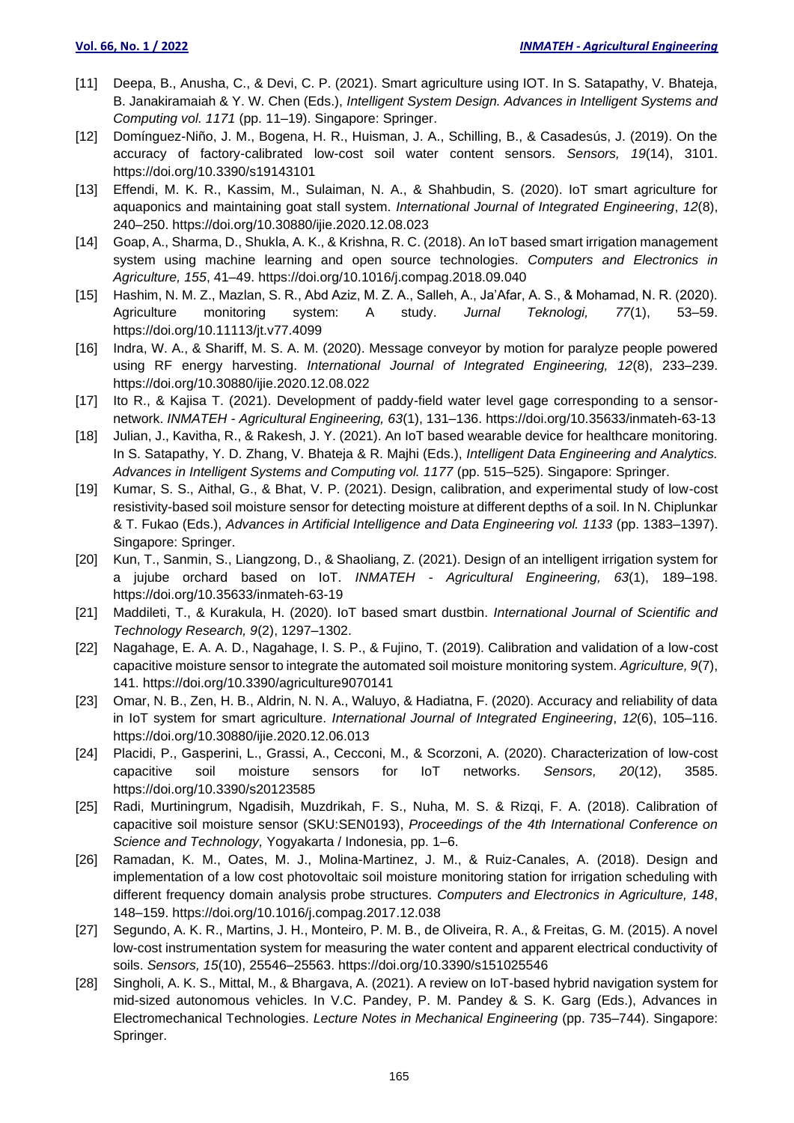- [11] Deepa, B., Anusha, C., & Devi, C. P. (2021). Smart agriculture using IOT. In S. Satapathy, V. Bhateja, B. Janakiramaiah & Y. W. Chen (Eds.), *Intelligent System Design. Advances in Intelligent Systems and Computing vol. 1171* (pp. 11–19). Singapore: Springer.
- [12] Domínguez-Niño, J. M., Bogena, H. R., Huisman, J. A., Schilling, B., & Casadesús, J. (2019). On the accuracy of factory-calibrated low-cost soil water content sensors. *Sensors, 19*(14), 3101. https://doi.org/10.3390/s19143101
- [13] Effendi, M. K. R., Kassim, M., Sulaiman, N. A., & Shahbudin, S. (2020). IoT smart agriculture for aquaponics and maintaining goat stall system. *International Journal of Integrated Engineering*, *12*(8), 240–250. https://doi.org/10.30880/ijie.2020.12.08.023
- [14] Goap, A., Sharma, D., Shukla, A. K., & Krishna, R. C. (2018). An IoT based smart irrigation management system using machine learning and open source technologies. *Computers and Electronics in Agriculture, 155*, 41–49. https://doi.org/10.1016/j.compag.2018.09.040
- [15] Hashim, N. M. Z., Mazlan, S. R., Abd Aziz, M. Z. A., Salleh, A., Ja'Afar, A. S., & Mohamad, N. R. (2020). Agriculture monitoring system: A study. *Jurnal Teknologi, 77*(1), 53–59. https://doi.org/10.11113/jt.v77.4099
- [16] Indra, W. A., & Shariff, M. S. A. M. (2020). Message conveyor by motion for paralyze people powered using RF energy harvesting. *International Journal of Integrated Engineering, 12*(8), 233–239. https://doi.org/10.30880/ijie.2020.12.08.022
- [17] Ito R., & Kajisa T. (2021). Development of paddy-field water level gage corresponding to a sensornetwork. *INMATEH - Agricultural Engineering, 63*(1), 131–136. https://doi.org/10.35633/inmateh-63-13
- [18] Julian, J., Kavitha, R., & Rakesh, J. Y. (2021). An IoT based wearable device for healthcare monitoring. In S. Satapathy, Y. D. Zhang, V. Bhateja & R. Majhi (Eds.), *Intelligent Data Engineering and Analytics. Advances in Intelligent Systems and Computing vol. 1177* (pp. 515–525). Singapore: Springer.
- [19] Kumar, S. S., Aithal, G., & Bhat, V. P. (2021). Design, calibration, and experimental study of low-cost resistivity-based soil moisture sensor for detecting moisture at different depths of a soil. In N. Chiplunkar & T. Fukao (Eds.), *Advances in Artificial Intelligence and Data Engineering vol. 1133* (pp. 1383–1397). Singapore: Springer.
- [20] Kun, T., Sanmin, S., Liangzong, D., & Shaoliang, Z. (2021). Design of an intelligent irrigation system for a jujube orchard based on IoT. *INMATEH - Agricultural Engineering, 63*(1), 189–198. https://doi.org/10.35633/inmateh-63-19
- [21] Maddileti, T., & Kurakula, H. (2020). IoT based smart dustbin. *International Journal of Scientific and Technology Research, 9*(2), 1297–1302.
- [22] Nagahage, E. A. A. D., Nagahage, I. S. P., & Fujino, T. (2019). Calibration and validation of a low-cost capacitive moisture sensor to integrate the automated soil moisture monitoring system. *Agriculture, 9*(7), 141. https://doi.org/10.3390/agriculture9070141
- [23] Omar, N. B., Zen, H. B., Aldrin, N. N. A., Waluyo, & Hadiatna, F. (2020). Accuracy and reliability of data in IoT system for smart agriculture. *International Journal of Integrated Engineering*, *12*(6), 105–116. https://doi.org/10.30880/ijie.2020.12.06.013
- [24] Placidi, P., Gasperini, L., Grassi, A., Cecconi, M., & Scorzoni, A. (2020). Characterization of low-cost capacitive soil moisture sensors for IoT networks. *Sensors, 20*(12), 3585. https://doi.org/10.3390/s20123585
- [25] Radi, Murtiningrum, Ngadisih, Muzdrikah, F. S., Nuha, M. S. & Rizqi, F. A. (2018). Calibration of capacitive soil moisture sensor (SKU:SEN0193), *Proceedings of the 4th International Conference on Science and Technology,* Yogyakarta / Indonesia, pp. 1–6.
- [26] Ramadan, K. M., Oates, M. J., Molina-Martinez, J. M., & Ruiz-Canales, A. (2018). Design and implementation of a low cost photovoltaic soil moisture monitoring station for irrigation scheduling with different frequency domain analysis probe structures. *Computers and Electronics in Agriculture, 148*, 148–159. https://doi.org/10.1016/j.compag.2017.12.038
- [27] Segundo, A. K. R., Martins, J. H., Monteiro, P. M. B., de Oliveira, R. A., & Freitas, G. M. (2015). A novel low-cost instrumentation system for measuring the water content and apparent electrical conductivity of soils. *Sensors, 15*(10), 25546–25563. https://doi.org/10.3390/s151025546
- [28] Singholi, A. K. S., Mittal, M., & Bhargava, A. (2021). A review on IoT-based hybrid navigation system for mid-sized autonomous vehicles. In V.C. Pandey, P. M. Pandey & S. K. Garg (Eds.), Advances in Electromechanical Technologies. *Lecture Notes in Mechanical Engineering* (pp. 735–744). Singapore: Springer.